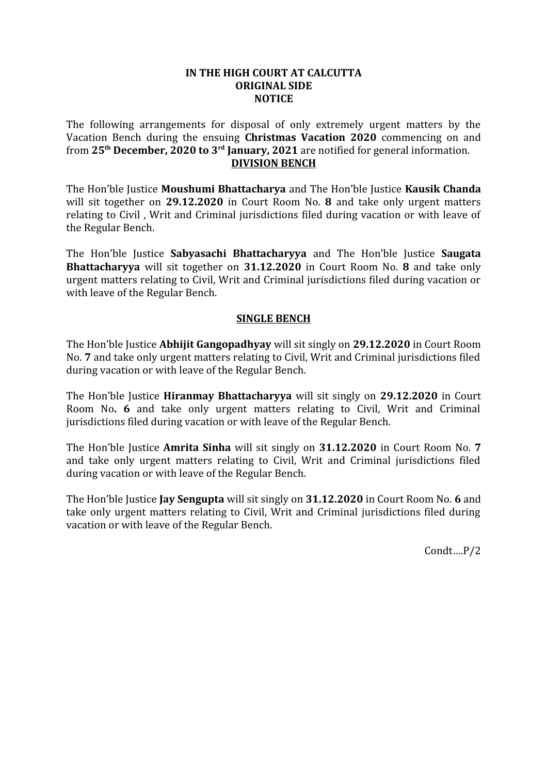## **IN THE HIGH COURT AT CALCUTTA ORIGINAL SIDE NOTICE**

The following arrangements for disposal of only extremely urgent matters by the Vacation Bench during the ensuing **Christmas Vacation 2020** commencing on and from **25th December, 2020 to 3rd January, 2021** are notified for general information. **DIVISION BENCH**

The Hon'ble Justice **Moushumi Bhattacharya** and The Hon'ble Justice **Kausik Chanda** will sit together on **29.12.2020** in Court Room No. **8** and take only urgent matters relating to Civil , Writ and Criminal jurisdictions filed during vacation or with leave of the Regular Bench.

The Hon'ble Justice **Sabyasachi Bhattacharyya** and The Hon'ble Justice **Saugata Bhattacharyya** will sit together on **31.12.2020** in Court Room No. **8** and take only urgent matters relating to Civil, Writ and Criminal jurisdictions filed during vacation or with leave of the Regular Bench.

## **SINGLE BENCH**

The Hon'ble Justice **Abhijit Gangopadhyay** will sit singly on **29.12.2020** in Court Room No. **7** and take only urgent matters relating to Civil, Writ and Criminal jurisdictions filed during vacation or with leave of the Regular Bench.

The Hon'ble Justice **Hiranmay Bhattacharyya** will sit singly on **29.12.2020** in Court Room No**. 6** and take only urgent matters relating to Civil, Writ and Criminal jurisdictions filed during vacation or with leave of the Regular Bench.

The Hon'ble Justice **Amrita Sinha** will sit singly on **31.12.2020** in Court Room No. **7** and take only urgent matters relating to Civil, Writ and Criminal jurisdictions filed during vacation or with leave of the Regular Bench.

The Hon'ble Justice **Jay Sengupta** will sit singly on **31.12.2020** in Court Room No. **6** and take only urgent matters relating to Civil, Writ and Criminal jurisdictions filed during vacation or with leave of the Regular Bench.

Condt….P/2